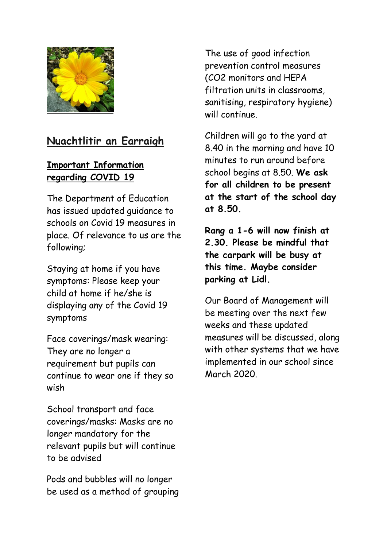

# **Nuachtlitir an Earraigh**

### **Important Information regarding COVID 19**

The Department of Education has issued updated guidance to schools on Covid 19 measures in place. Of relevance to us are the following;

Staying at home if you have symptoms: Please keep your child at home if he/she is displaying any of the Covid 19 symptoms

Face coverings/mask wearing: They are no longer a requirement but pupils can continue to wear one if they so wish

School transport and face coverings/masks: Masks are no longer mandatory for the relevant pupils but will continue to be advised

Pods and bubbles will no longer be used as a method of grouping

The use of good infection prevention control measures (CO2 monitors and HEPA filtration units in classrooms, sanitising, respiratory hygiene) will continue.

Children will go to the yard at 8.40 in the morning and have 10 minutes to run around before school begins at 8.50. **We ask for all children to be present at the start of the school day at 8.50.** 

**Rang a 1-6 will now finish at 2.30. Please be mindful that the carpark will be busy at this time. Maybe consider parking at Lidl.**

Our Board of Management will be meeting over the next few weeks and these updated measures will be discussed, along with other systems that we have implemented in our school since March 2020.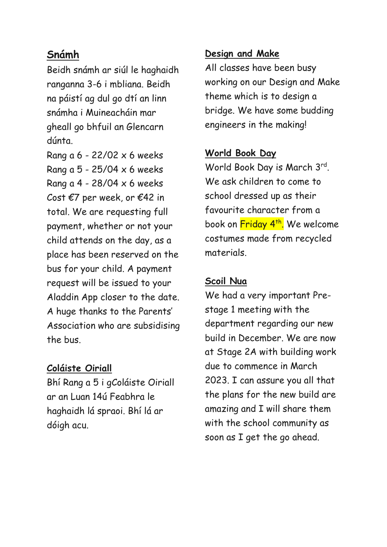## **Snámh**

Beidh snámh ar siúl le haghaidh ranganna 3-6 i mbliana. Beidh na páistí ag dul go dtí an linn snámha i Muineacháin mar gheall go bhfuil an Glencarn dúnta.

Rang a 6 - 22/02 x 6 weeks Rang a  $5 - 25/04 \times 6$  weeks Rang a  $4 - 28/04 \times 6$  weeks Cost  $\epsilon$ 7 per week, or  $\epsilon$ 42 in total. We are requesting full payment, whether or not your child attends on the day, as a place has been reserved on the bus for your child. A payment request will be issued to your Aladdin App closer to the date. A huge thanks to the Parents' Association who are subsidising the bus.

### **Coláiste Oiriall**

Bhí Rang a 5 i gColáiste Oiriall ar an Luan 14ú Feabhra le haghaidh lá spraoi. Bhí lá ar dóigh acu.

### **Design and Make**

All classes have been busy working on our Design and Make theme which is to design a bridge. We have some budding engineers in the making!

### **World Book Day**

World Book Day is March 3rd. We ask children to come to school dressed up as their favourite character from a book on <mark>Friday 4<sup>th</sup>.</mark> We welcome costumes made from recycled materials.

### **Scoil Nua**

We had a very important Prestage 1 meeting with the department regarding our new build in December. We are now at Stage 2A with building work due to commence in March 2023. I can assure you all that the plans for the new build are amazing and I will share them with the school community as soon as I get the go ahead.